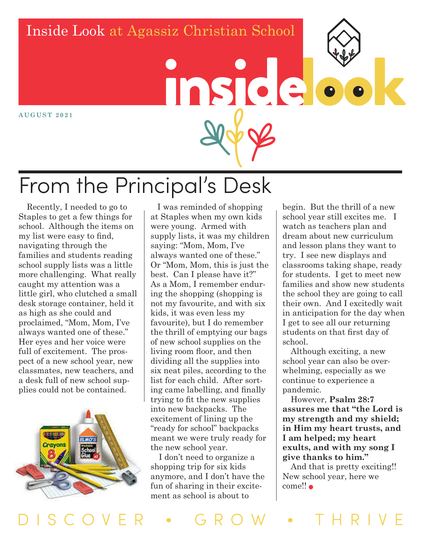#### Inside Look at Agassiz Christian School

**AUGUST 2021**

# From the Principal's Desk

inside

#### Recently, I needed to go to Staples to get a few things for school. Although the items on my list were easy to find, navigating through the families and students reading school supply lists was a little more challenging. What really caught my attention was a little girl, who clutched a small desk storage container, held it as high as she could and proclaimed, "Mom, Mom, I've always wanted one of these." Her eyes and her voice were full of excitement. The prospect of a new school year, new classmates, new teachers, and a desk full of new school supplies could not be contained.



 I was reminded of shopping at Staples when my own kids were young. Armed with supply lists, it was my children saying: "Mom, Mom, I've always wanted one of these." Or "Mom, Mom, this is just the best. Can I please have it?" As a Mom, I remember enduring the shopping (shopping is not my favourite, and with six kids, it was even less my favourite), but I do remember the thrill of emptying our bags of new school supplies on the living room floor, and then dividing all the supplies into six neat piles, according to the list for each child. After sorting came labelling, and finally trying to fit the new supplies into new backpacks. The excitement of lining up the "ready for school" backpacks meant we were truly ready for the new school year.

I don't need to organize a shopping trip for six kids anymore, and I don't have the fun of sharing in their excitement as school is about to

begin. But the thrill of a new school year still excites me. I watch as teachers plan and dream about new curriculum and lesson plans they want to try. I see new displays and classrooms taking shape, ready for students. I get to meet new families and show new students the school they are going to call their own. And I excitedly wait in anticipation for the day when I get to see all our returning students on that first day of school.

Although exciting, a new school year can also be overwhelming, especially as we continue to experience a pandemic.

However, **Psalm 28:7 assures me that "the Lord is my strength and my shield; in Him my heart trusts, and I am helped; my heart exults, and with my song I give thanks to him."**

And that is pretty exciting!! New school year, here we come!!

DISCOVER • GROW • THRIVE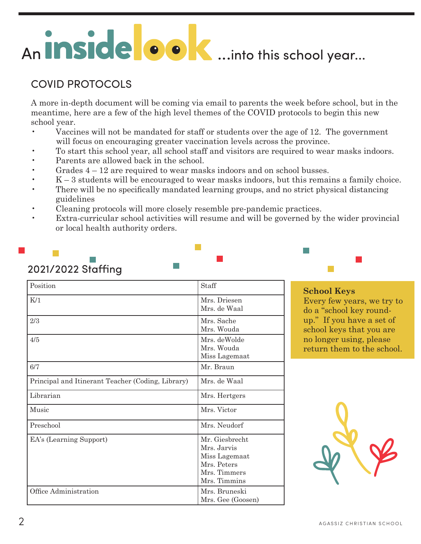## An **inside ook**...into this school year...

#### COVID PROTOCOLS

A more in-depth document will be coming via email to parents the week before school, but in the meantime, here are a few of the high level themes of the COVID protocols to begin this new school year.

- Vaccines will not be mandated for staff or students over the age of 12. The government will focus on encouraging greater vaccination levels across the province.
- To start this school year, all school staff and visitors are required to wear masks indoors.
- Parents are allowed back in the school.
- Grades 4 12 are required to wear masks indoors and on school busses.
- K 3 students will be encouraged to wear masks indoors, but this remains a family choice. • There will be no specifically mandated learning groups, and no strict physical distancing
- guidelines
- Cleaning protocols will more closely resemble pre-pandemic practices.
- Extra-curricular school activities will resume and will be governed by the wider provincial or local health authority orders.

| Position                                          | Staff                                                                                         |  |
|---------------------------------------------------|-----------------------------------------------------------------------------------------------|--|
| K/1                                               | Mrs. Driesen<br>Mrs. de Waal                                                                  |  |
| 2/3                                               | Mrs. Sache<br>Mrs. Wouda                                                                      |  |
| 4/5                                               | Mrs. deWolde<br>Mrs. Wouda<br>Miss Lagemaat                                                   |  |
| 6/7                                               | Mr. Braun                                                                                     |  |
| Principal and Itinerant Teacher (Coding, Library) | Mrs. de Waal                                                                                  |  |
| Librarian                                         | Mrs. Hertgers                                                                                 |  |
| Music                                             | Mrs. Victor                                                                                   |  |
| Preschool                                         | Mrs. Neudorf                                                                                  |  |
| EA's (Learning Support)                           | Mr. Giesbrecht<br>Mrs. Jarvis<br>Miss Lagemaat<br>Mrs. Peters<br>Mrs. Timmers<br>Mrs. Timmins |  |
| Office Administration                             | Mrs. Bruneski<br>Mrs. Gee (Goosen)                                                            |  |

#### 2021/2022 Staffing

#### **School Keys**

Every few years, we try to do a "school key roundup." If you have a set of school keys that you are no longer using, please return them to the school.

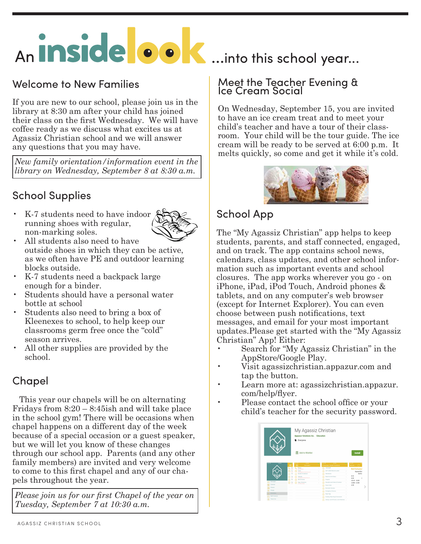## An **inside ook**...into this school year...

#### Welcome to New Families

If you are new to our school, please join us in the library at 8:30 am after your child has joined their class on the first Wednesday. We will have coffee ready as we discuss what excites us at Agassiz Christian school and we will answer any questions that you may have.

*New family orientation/information event in the library on Wednesday, September 8 at 8:30 a.m.* 

#### School Supplies

• K-7 students need to have indoor running shoes with regular, non-marking soles.



- All students also need to have outside shoes in which they can be active, as we often have PE and outdoor learning blocks outside.
- K-7 students need a backpack large enough for a binder.
- Students should have a personal water bottle at school
- Students also need to bring a box of Kleenexes to school, to help keep our classrooms germ free once the "cold" season arrives.
- All other supplies are provided by the school.

#### Chapel

 This year our chapels will be on alternating Fridays from  $8:20 - 8:45$ ish and will take place in the school gym! There will be occasions when chapel happens on a different day of the week because of a special occasion or a guest speaker, but we will let you know of these changes through our school app. Parents (and any other family members) are invited and very welcome to come to this first chapel and any of our chapels throughout the year.

*Please join us for our first Chapel of the year on Tuesday, September 7 at 10:30 a.m.*

#### Meet the Teacher Evening & Ice Cream Social

On Wednesday, September 15, you are invited to have an ice cream treat and to meet your child's teacher and have a tour of their classroom. Your child will be the tour guide. The ice cream will be ready to be served at 6:00 p.m. It melts quickly, so come and get it while it's cold.



#### School App

The "My Agassiz Christian" app helps to keep students, parents, and staff connected, engaged, and on track. The app contains school news, calendars, class updates, and other school information such as important events and school closures. The app works wherever you go - on iPhone, iPad, iPod Touch, Android phones & tablets, and on any computer's web browser (except for Internet Explorer). You can even choose between push notifications, text messages, and email for your most important updates.Please get started with the "My Agassiz Christian" App! Either:

- Search for "My Agassiz Christian" in the AppStore/Google Play.
- Visit agassizchristian.appazur.com and tap the button.
- Learn more at: agassizchristian.appazur. com/help/flyer.
- Please contact the school office or your child's teacher for the security password.

|                 | E Everyone<br>Ω                                                            | My Agassiz Christian<br>Appazur Solutions Inc. Education<br>Add to Wishlist<br>Install |                                  |
|-----------------|----------------------------------------------------------------------------|----------------------------------------------------------------------------------------|----------------------------------|
| <b>HEN</b><br>  | <b>STATISTICS</b><br>÷<br>≡<br>=<br>Information                            | <b>CASE PRO</b><br>н<br>$\sim$<br>Celemater, Student Handbook                          | $\sim$<br>٠<br>erse. C           |
|                 | Phone<br>P.<br>ч.<br><b>Grand Advisers</b>                                 | ACS Staff<br>പ                                                                         | <b>Bell Schedul</b>              |
|                 | Email:<br>$\sim$<br>×<br>M<br>÷                                            | 2017-2018 Welcome Letter<br>m                                                          | ٦<br>Acausi Chri<br>Bell Sc      |
|                 | D<br>Student Handbook<br>$\overline{a}$<br>W<br>Website                    | Atlandance<br>×<br><b>Doard &amp; Committees</b>                                       | ۸<br>8.15                        |
|                 | ø<br>ь<br>≃<br>and panninfeltime/had con<br>ര<br>(tell Schedule)<br>$^{3}$ | s<br>ത<br>Chapels                                                                      | ×<br>8.20<br>×                   |
| <b>Meccages</b> | Mag / Directions                                                           | v<br>Discipline and Code of Conduct<br>s                                               | $10.10 - 10.30$<br>12:00 - 12:50 |
| Culentar        | ⊙ ≝<br><b>A FOUNDATION</b>                                                 | Draws Code                                                                             | 2.43<br>٦                        |
| Cleaner         |                                                                            | <b>Declassic Devices</b>                                                               |                                  |
|                 |                                                                            | <b>Dramarcy Closures</b>                                                               |                                  |
| Concesi         |                                                                            |                                                                                        |                                  |
| Information     |                                                                            | m<br><b>Field Trips</b>                                                                | ×                                |
| Stuff Contacts  |                                                                            | െ<br><b>Grading, Reporting &amp; Homework</b>                                          | ×                                |